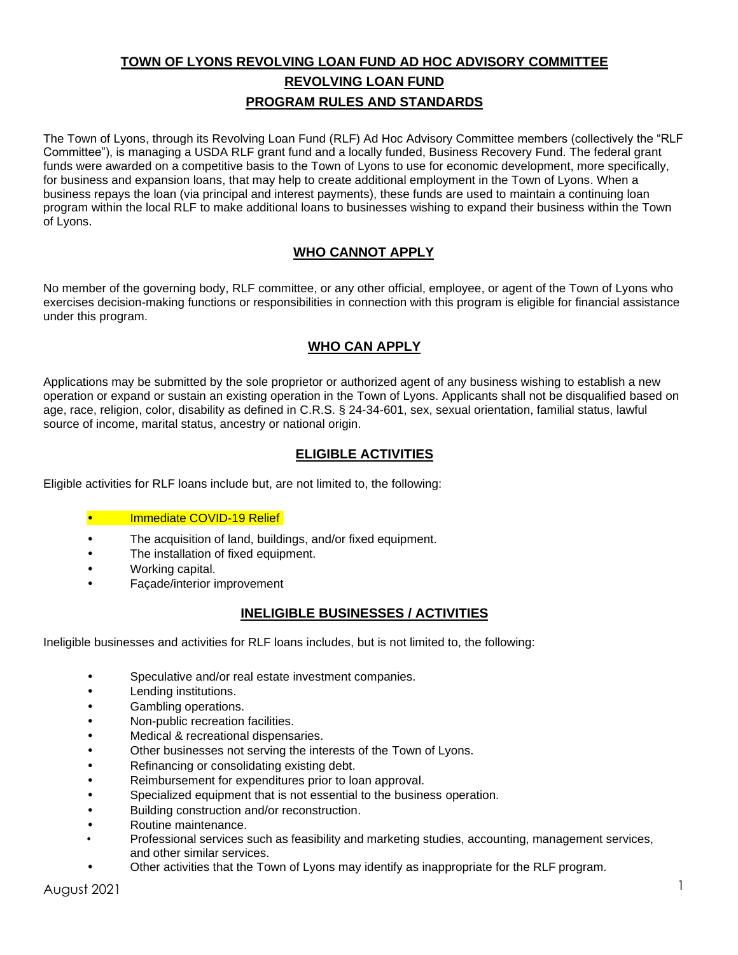# **TOWN OF LYONS REVOLVING LOAN FUND AD HOC ADVISORY COMMITTEE REVOLVING LOAN FUND PROGRAM RULES AND STANDARDS**

The Town of Lyons, through its Revolving Loan Fund (RLF) Ad Hoc Advisory Committee members (collectively the "RLF Committee"), is managing a USDA RLF grant fund and a locally funded, Business Recovery Fund. The federal grant funds were awarded on a competitive basis to the Town of Lyons to use for economic development, more specifically, for business and expansion loans, that may help to create additional employment in the Town of Lyons. When a business repays the loan (via principal and interest payments), these funds are used to maintain a continuing loan program within the local RLF to make additional loans to businesses wishing to expand their business within the Town of Lyons.

## **WHO CANNOT APPLY**

No member of the governing body, RLF committee, or any other official, employee, or agent of the Town of Lyons who exercises decision-making functions or responsibilities in connection with this program is eligible for financial assistance under this program.

## **WHO CAN APPLY**

Applications may be submitted by the sole proprietor or authorized agent of any business wishing to establish a new operation or expand or sustain an existing operation in the Town of Lyons. Applicants shall not be disqualified based on age, race, religion, color, disability as defined in C.R.S. § 24-34-601, sex, sexual orientation, familial status, lawful source of income, marital status, ancestry or national origin.

## **ELIGIBLE ACTIVITIES**

Eligible activities for RLF loans include but, are not limited to, the following:

#### • Immediate COVID-19 Relief

- The acquisition of land, buildings, and/or fixed equipment.
- The installation of fixed equipment.
- Working capital.
- Façade/interior improvement

#### **INELIGIBLE BUSINESSES / ACTIVITIES**

Ineligible businesses and activities for RLF loans includes, but is not limited to, the following:

- Speculative and/or real estate investment companies.
- Lending institutions.
- Gambling operations.
- Non-public recreation facilities.
- Medical & recreational dispensaries.
- Other businesses not serving the interests of the Town of Lyons.
- Refinancing or consolidating existing debt.
- Reimbursement for expenditures prior to loan approval.
- Specialized equipment that is not essential to the business operation.
- Building construction and/or reconstruction.
- Routine maintenance.
- Professional services such as feasibility and marketing studies, accounting, management services, and other similar services.
- Other activities that the Town of Lyons may identify as inappropriate for the RLF program.